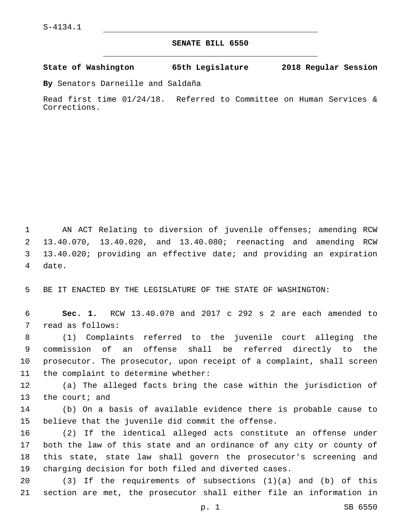## **SENATE BILL 6550**

**State of Washington 65th Legislature 2018 Regular Session**

**By** Senators Darneille and Saldaña

Read first time 01/24/18. Referred to Committee on Human Services & Corrections.

 AN ACT Relating to diversion of juvenile offenses; amending RCW 13.40.070, 13.40.020, and 13.40.080; reenacting and amending RCW 13.40.020; providing an effective date; and providing an expiration 4 date.

5 BE IT ENACTED BY THE LEGISLATURE OF THE STATE OF WASHINGTON:

6 **Sec. 1.** RCW 13.40.070 and 2017 c 292 s 2 are each amended to 7 read as follows:

 (1) Complaints referred to the juvenile court alleging the commission of an offense shall be referred directly to the prosecutor. The prosecutor, upon receipt of a complaint, shall screen 11 the complaint to determine whether:

12 (a) The alleged facts bring the case within the jurisdiction of 13 the court; and

14 (b) On a basis of available evidence there is probable cause to 15 believe that the juvenile did commit the offense.

 (2) If the identical alleged acts constitute an offense under both the law of this state and an ordinance of any city or county of this state, state law shall govern the prosecutor's screening and charging decision for both filed and diverted cases.

20 (3) If the requirements of subsections (1)(a) and (b) of this 21 section are met, the prosecutor shall either file an information in

p. 1 SB 6550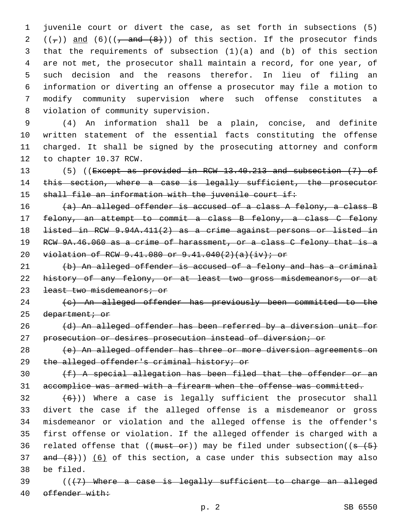juvenile court or divert the case, as set forth in subsections (5)  $2((7))$  and  $(6)((7)$  and  $(8))$  of this section. If the prosecutor finds that the requirements of subsection (1)(a) and (b) of this section are not met, the prosecutor shall maintain a record, for one year, of such decision and the reasons therefor. In lieu of filing an information or diverting an offense a prosecutor may file a motion to modify community supervision where such offense constitutes a 8 violation of community supervision.

 (4) An information shall be a plain, concise, and definite written statement of the essential facts constituting the offense charged. It shall be signed by the prosecuting attorney and conform 12 to chapter 10.37 RCW.

13 (5) ((Except as provided in RCW 13.40.213 and subsection (7) of 14 this section, where a case is legally sufficient, the prosecutor 15 shall file an information with the juvenile court if:

 (a) An alleged offender is accused of a class A felony, a class B felony, an attempt to commit a class B felony, a class C felony listed in RCW 9.94A.411(2) as a crime against persons or listed in 19 RCW 9A.46.060 as a crime of harassment, or a class C felony that is a violation of RCW 9.41.080 or 9.41.040(2)(a)(iv); or

 (b) An alleged offender is accused of a felony and has a criminal 22 history of any felony, or at least two gross misdemeanors, or at 23 least two misdemeanors; or

 (c) An alleged offender has previously been committed to the 25 department; or

- (d) An alleged offender has been referred by a diversion unit for 27 prosecution or desires prosecution instead of diversion; or
- (e) An alleged offender has three or more diversion agreements on the alleged offender's criminal history; or
- (f) A special allegation has been filed that the offender or an accomplice was armed with a firearm when the offense was committed.

 $(6)$ )) Where a case is legally sufficient the prosecutor shall divert the case if the alleged offense is a misdemeanor or gross misdemeanor or violation and the alleged offense is the offender's first offense or violation. If the alleged offender is charged with a 36 related offense that (( $must$  or)) may be filed under subsection(( $s$   $(5)$ ) 37 and  $(8)$ )) (6) of this section, a case under this subsection may also 38 be filed.

 (((7) Where a case is legally sufficient to charge an alleged offender with: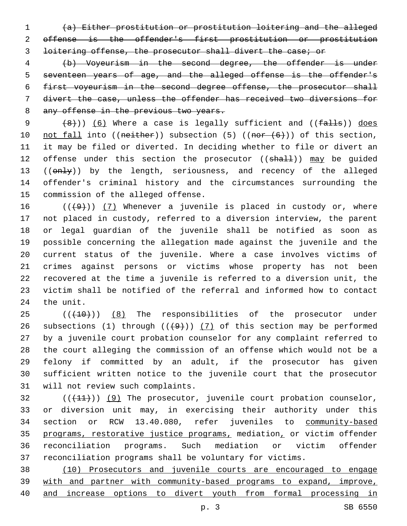(a) Either prostitution or prostitution loitering and the alleged offense is the offender's first prostitution or prostitution loitering offense, the prosecutor shall divert the case; or

 (b) Voyeurism in the second degree, the offender is under seventeen years of age, and the alleged offense is the offender's first voyeurism in the second degree offense, the prosecutor shall divert the case, unless the offender has received two diversions for 8 any offense in the previous two years.

9 (8)) (6) Where a case is legally sufficient and ((falls)) does 10 not fall into ((neither)) subsection  $(5)$  ((nor  $(6+)$ )) of this section, it may be filed or diverted. In deciding whether to file or divert an 12 offense under this section the prosecutor ((shall)) may be guided 13 ((only)) by the length, seriousness, and recency of the alleged offender's criminal history and the circumstances surrounding the 15 commission of the alleged offense.

 $((+9+))$  (7) Whenever a juvenile is placed in custody or, where not placed in custody, referred to a diversion interview, the parent or legal guardian of the juvenile shall be notified as soon as possible concerning the allegation made against the juvenile and the current status of the juvenile. Where a case involves victims of crimes against persons or victims whose property has not been recovered at the time a juvenile is referred to a diversion unit, the victim shall be notified of the referral and informed how to contact 24 the unit.

  $((+10))$   $(8)$  The responsibilities of the prosecutor under 26 subsections (1) through  $((+9))$  (7) of this section may be performed by a juvenile court probation counselor for any complaint referred to the court alleging the commission of an offense which would not be a felony if committed by an adult, if the prosecutor has given sufficient written notice to the juvenile court that the prosecutor 31 will not review such complaints.

 $(1)(11)$ ) (9) The prosecutor, juvenile court probation counselor, or diversion unit may, in exercising their authority under this section or RCW 13.40.080, refer juveniles to community-based programs, restorative justice programs, mediation, or victim offender reconciliation programs. Such mediation or victim offender reconciliation programs shall be voluntary for victims.

 (10) Prosecutors and juvenile courts are encouraged to engage with and partner with community-based programs to expand, improve, and increase options to divert youth from formal processing in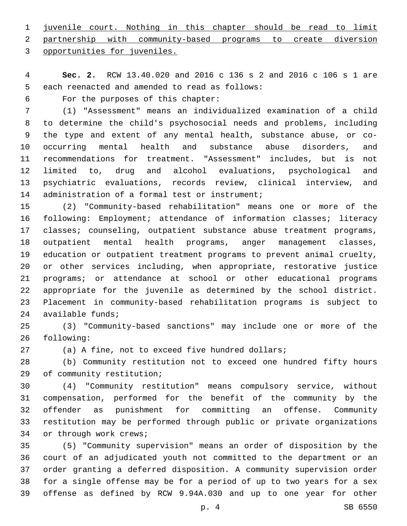juvenile court. Nothing in this chapter should be read to limit

partnership with community-based programs to create diversion

3 opportunities for juveniles.

 **Sec. 2.** RCW 13.40.020 and 2016 c 136 s 2 and 2016 c 106 s 1 are 5 each reenacted and amended to read as follows:

For the purposes of this chapter:6

 (1) "Assessment" means an individualized examination of a child to determine the child's psychosocial needs and problems, including the type and extent of any mental health, substance abuse, or co- occurring mental health and substance abuse disorders, and recommendations for treatment. "Assessment" includes, but is not limited to, drug and alcohol evaluations, psychological and psychiatric evaluations, records review, clinical interview, and 14 administration of a formal test or instrument;

 (2) "Community-based rehabilitation" means one or more of the following: Employment; attendance of information classes; literacy classes; counseling, outpatient substance abuse treatment programs, outpatient mental health programs, anger management classes, education or outpatient treatment programs to prevent animal cruelty, or other services including, when appropriate, restorative justice programs; or attendance at school or other educational programs appropriate for the juvenile as determined by the school district. Placement in community-based rehabilitation programs is subject to 24 available funds;

 (3) "Community-based sanctions" may include one or more of the 26 following:

(a) A fine, not to exceed five hundred dollars;

 (b) Community restitution not to exceed one hundred fifty hours 29 of community restitution;

 (4) "Community restitution" means compulsory service, without compensation, performed for the benefit of the community by the offender as punishment for committing an offense. Community restitution may be performed through public or private organizations 34 or through work crews;

 (5) "Community supervision" means an order of disposition by the court of an adjudicated youth not committed to the department or an order granting a deferred disposition. A community supervision order for a single offense may be for a period of up to two years for a sex offense as defined by RCW 9.94A.030 and up to one year for other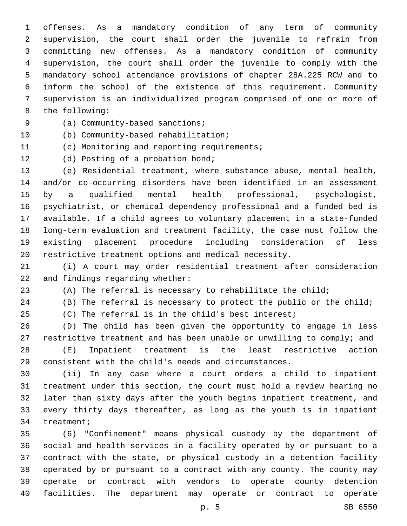offenses. As a mandatory condition of any term of community supervision, the court shall order the juvenile to refrain from committing new offenses. As a mandatory condition of community supervision, the court shall order the juvenile to comply with the mandatory school attendance provisions of chapter 28A.225 RCW and to inform the school of the existence of this requirement. Community supervision is an individualized program comprised of one or more of 8 the following:

9 (a) Community-based sanctions;

10 (b) Community-based rehabilitation;

11 (c) Monitoring and reporting requirements;

12 (d) Posting of a probation bond;

 (e) Residential treatment, where substance abuse, mental health, and/or co-occurring disorders have been identified in an assessment by a qualified mental health professional, psychologist, psychiatrist, or chemical dependency professional and a funded bed is available. If a child agrees to voluntary placement in a state-funded long-term evaluation and treatment facility, the case must follow the existing placement procedure including consideration of less restrictive treatment options and medical necessity.

 (i) A court may order residential treatment after consideration 22 and findings regarding whether:

(A) The referral is necessary to rehabilitate the child;

(B) The referral is necessary to protect the public or the child;

(C) The referral is in the child's best interest;

 (D) The child has been given the opportunity to engage in less 27 restrictive treatment and has been unable or unwilling to comply; and

 (E) Inpatient treatment is the least restrictive action consistent with the child's needs and circumstances.

 (ii) In any case where a court orders a child to inpatient treatment under this section, the court must hold a review hearing no later than sixty days after the youth begins inpatient treatment, and every thirty days thereafter, as long as the youth is in inpatient 34 treatment;

 (6) "Confinement" means physical custody by the department of social and health services in a facility operated by or pursuant to a contract with the state, or physical custody in a detention facility operated by or pursuant to a contract with any county. The county may operate or contract with vendors to operate county detention facilities. The department may operate or contract to operate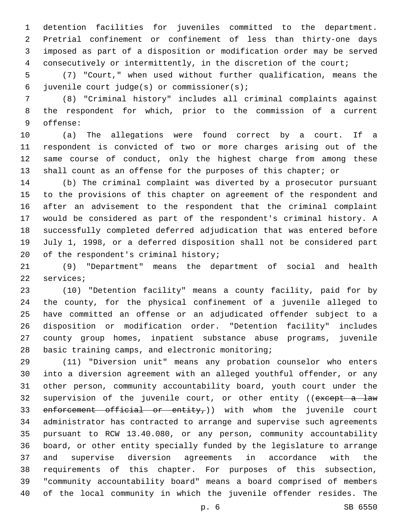detention facilities for juveniles committed to the department. Pretrial confinement or confinement of less than thirty-one days imposed as part of a disposition or modification order may be served consecutively or intermittently, in the discretion of the court;

 (7) "Court," when used without further qualification, means the 6 juvenile court judge(s) or commissioner(s);

 (8) "Criminal history" includes all criminal complaints against the respondent for which, prior to the commission of a current 9 offense:

 (a) The allegations were found correct by a court. If a respondent is convicted of two or more charges arising out of the same course of conduct, only the highest charge from among these shall count as an offense for the purposes of this chapter; or

 (b) The criminal complaint was diverted by a prosecutor pursuant to the provisions of this chapter on agreement of the respondent and after an advisement to the respondent that the criminal complaint would be considered as part of the respondent's criminal history. A successfully completed deferred adjudication that was entered before July 1, 1998, or a deferred disposition shall not be considered part 20 of the respondent's criminal history;

 (9) "Department" means the department of social and health 22 services;

 (10) "Detention facility" means a county facility, paid for by the county, for the physical confinement of a juvenile alleged to have committed an offense or an adjudicated offender subject to a disposition or modification order. "Detention facility" includes county group homes, inpatient substance abuse programs, juvenile 28 basic training camps, and electronic monitoring;

 (11) "Diversion unit" means any probation counselor who enters into a diversion agreement with an alleged youthful offender, or any other person, community accountability board, youth court under the 32 supervision of the juvenile court, or other entity ((except a law 33 enforcement official or entity,)) with whom the juvenile court administrator has contracted to arrange and supervise such agreements pursuant to RCW 13.40.080, or any person, community accountability board, or other entity specially funded by the legislature to arrange and supervise diversion agreements in accordance with the requirements of this chapter. For purposes of this subsection, "community accountability board" means a board comprised of members of the local community in which the juvenile offender resides. The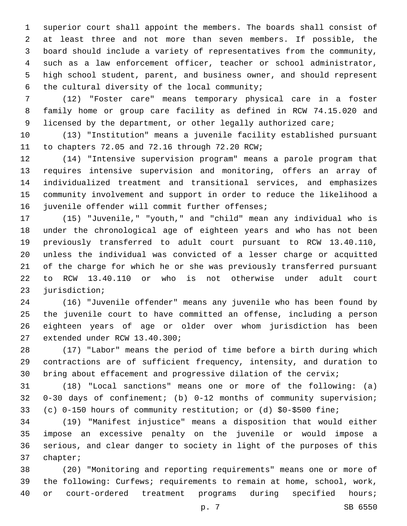superior court shall appoint the members. The boards shall consist of at least three and not more than seven members. If possible, the board should include a variety of representatives from the community, such as a law enforcement officer, teacher or school administrator, high school student, parent, and business owner, and should represent 6 the cultural diversity of the local community;

 (12) "Foster care" means temporary physical care in a foster family home or group care facility as defined in RCW 74.15.020 and 9 licensed by the department, or other legally authorized care;

 (13) "Institution" means a juvenile facility established pursuant 11 to chapters 72.05 and 72.16 through 72.20 RCW;

 (14) "Intensive supervision program" means a parole program that requires intensive supervision and monitoring, offers an array of individualized treatment and transitional services, and emphasizes community involvement and support in order to reduce the likelihood a 16 juvenile offender will commit further offenses;

 (15) "Juvenile," "youth," and "child" mean any individual who is under the chronological age of eighteen years and who has not been previously transferred to adult court pursuant to RCW 13.40.110, unless the individual was convicted of a lesser charge or acquitted of the charge for which he or she was previously transferred pursuant to RCW 13.40.110 or who is not otherwise under adult court 23 jurisdiction;

 (16) "Juvenile offender" means any juvenile who has been found by the juvenile court to have committed an offense, including a person eighteen years of age or older over whom jurisdiction has been 27 extended under RCW 13.40.300;

 (17) "Labor" means the period of time before a birth during which contractions are of sufficient frequency, intensity, and duration to bring about effacement and progressive dilation of the cervix;

 (18) "Local sanctions" means one or more of the following: (a) 0-30 days of confinement; (b) 0-12 months of community supervision; (c) 0-150 hours of community restitution; or (d) \$0-\$500 fine;

 (19) "Manifest injustice" means a disposition that would either impose an excessive penalty on the juvenile or would impose a serious, and clear danger to society in light of the purposes of this 37 chapter;

 (20) "Monitoring and reporting requirements" means one or more of the following: Curfews; requirements to remain at home, school, work, or court-ordered treatment programs during specified hours;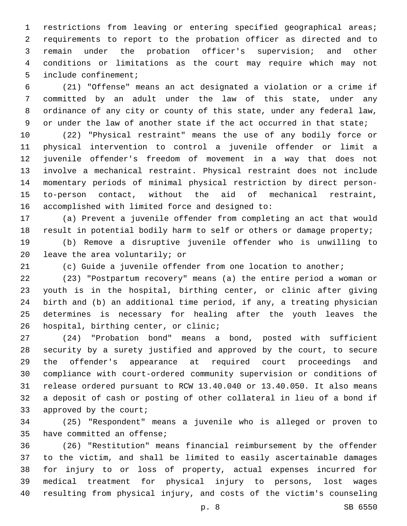restrictions from leaving or entering specified geographical areas; requirements to report to the probation officer as directed and to remain under the probation officer's supervision; and other conditions or limitations as the court may require which may not 5 include confinement;

 (21) "Offense" means an act designated a violation or a crime if committed by an adult under the law of this state, under any ordinance of any city or county of this state, under any federal law, or under the law of another state if the act occurred in that state;

 (22) "Physical restraint" means the use of any bodily force or physical intervention to control a juvenile offender or limit a juvenile offender's freedom of movement in a way that does not involve a mechanical restraint. Physical restraint does not include momentary periods of minimal physical restriction by direct person- to-person contact, without the aid of mechanical restraint, 16 accomplished with limited force and designed to:

 (a) Prevent a juvenile offender from completing an act that would result in potential bodily harm to self or others or damage property;

 (b) Remove a disruptive juvenile offender who is unwilling to 20 leave the area voluntarily; or

(c) Guide a juvenile offender from one location to another;

 (23) "Postpartum recovery" means (a) the entire period a woman or youth is in the hospital, birthing center, or clinic after giving birth and (b) an additional time period, if any, a treating physician determines is necessary for healing after the youth leaves the 26 hospital, birthing center, or clinic;

 (24) "Probation bond" means a bond, posted with sufficient security by a surety justified and approved by the court, to secure the offender's appearance at required court proceedings and compliance with court-ordered community supervision or conditions of release ordered pursuant to RCW 13.40.040 or 13.40.050. It also means a deposit of cash or posting of other collateral in lieu of a bond if 33 approved by the court;

 (25) "Respondent" means a juvenile who is alleged or proven to 35 have committed an offense;

 (26) "Restitution" means financial reimbursement by the offender to the victim, and shall be limited to easily ascertainable damages for injury to or loss of property, actual expenses incurred for medical treatment for physical injury to persons, lost wages resulting from physical injury, and costs of the victim's counseling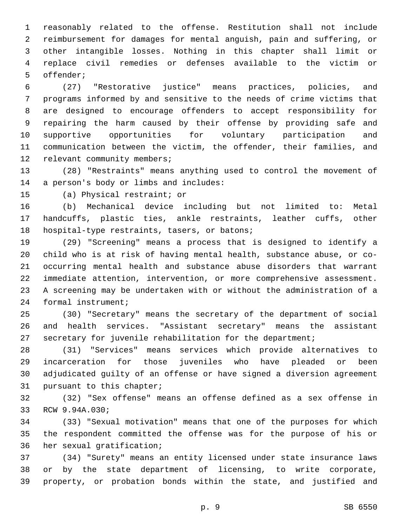reasonably related to the offense. Restitution shall not include reimbursement for damages for mental anguish, pain and suffering, or other intangible losses. Nothing in this chapter shall limit or replace civil remedies or defenses available to the victim or 5 offender;

 (27) "Restorative justice" means practices, policies, and programs informed by and sensitive to the needs of crime victims that are designed to encourage offenders to accept responsibility for repairing the harm caused by their offense by providing safe and supportive opportunities for voluntary participation and communication between the victim, the offender, their families, and 12 relevant community members;

 (28) "Restraints" means anything used to control the movement of 14 a person's body or limbs and includes:

15 (a) Physical restraint; or

 (b) Mechanical device including but not limited to: Metal handcuffs, plastic ties, ankle restraints, leather cuffs, other 18 hospital-type restraints, tasers, or batons;

 (29) "Screening" means a process that is designed to identify a child who is at risk of having mental health, substance abuse, or co- occurring mental health and substance abuse disorders that warrant immediate attention, intervention, or more comprehensive assessment. A screening may be undertaken with or without the administration of a 24 formal instrument;

 (30) "Secretary" means the secretary of the department of social and health services. "Assistant secretary" means the assistant 27 secretary for juvenile rehabilitation for the department;

 (31) "Services" means services which provide alternatives to incarceration for those juveniles who have pleaded or been adjudicated guilty of an offense or have signed a diversion agreement 31 pursuant to this chapter;

 (32) "Sex offense" means an offense defined as a sex offense in 33 RCW 9.94A.030;

 (33) "Sexual motivation" means that one of the purposes for which the respondent committed the offense was for the purpose of his or 36 her sexual gratification;

 (34) "Surety" means an entity licensed under state insurance laws or by the state department of licensing, to write corporate, property, or probation bonds within the state, and justified and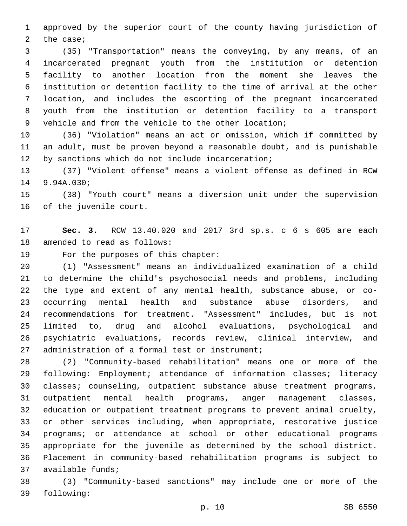approved by the superior court of the county having jurisdiction of 2 the case;

 (35) "Transportation" means the conveying, by any means, of an incarcerated pregnant youth from the institution or detention facility to another location from the moment she leaves the institution or detention facility to the time of arrival at the other location, and includes the escorting of the pregnant incarcerated youth from the institution or detention facility to a transport vehicle and from the vehicle to the other location;

 (36) "Violation" means an act or omission, which if committed by an adult, must be proven beyond a reasonable doubt, and is punishable 12 by sanctions which do not include incarceration;

 (37) "Violent offense" means a violent offense as defined in RCW 14 9.94A.030;

 (38) "Youth court" means a diversion unit under the supervision 16 of the juvenile court.

 **Sec. 3.** RCW 13.40.020 and 2017 3rd sp.s. c 6 s 605 are each 18 amended to read as follows:

19 For the purposes of this chapter:

 (1) "Assessment" means an individualized examination of a child to determine the child's psychosocial needs and problems, including the type and extent of any mental health, substance abuse, or co- occurring mental health and substance abuse disorders, and recommendations for treatment. "Assessment" includes, but is not limited to, drug and alcohol evaluations, psychological and psychiatric evaluations, records review, clinical interview, and 27 administration of a formal test or instrument;

 (2) "Community-based rehabilitation" means one or more of the following: Employment; attendance of information classes; literacy classes; counseling, outpatient substance abuse treatment programs, outpatient mental health programs, anger management classes, education or outpatient treatment programs to prevent animal cruelty, or other services including, when appropriate, restorative justice programs; or attendance at school or other educational programs appropriate for the juvenile as determined by the school district. Placement in community-based rehabilitation programs is subject to 37 available funds;

 (3) "Community-based sanctions" may include one or more of the 39 following: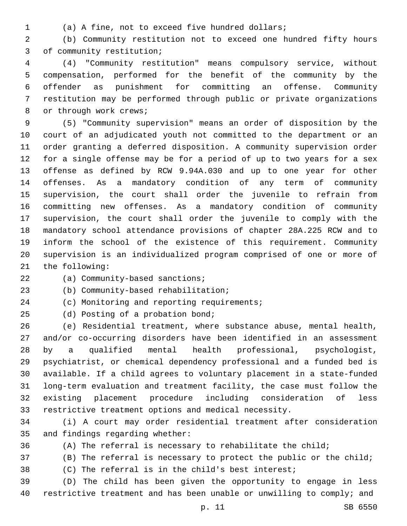- 
- (a) A fine, not to exceed five hundred dollars;

 (b) Community restitution not to exceed one hundred fifty hours 3 of community restitution;

 (4) "Community restitution" means compulsory service, without compensation, performed for the benefit of the community by the offender as punishment for committing an offense. Community restitution may be performed through public or private organizations 8 or through work crews;

 (5) "Community supervision" means an order of disposition by the court of an adjudicated youth not committed to the department or an order granting a deferred disposition. A community supervision order for a single offense may be for a period of up to two years for a sex offense as defined by RCW 9.94A.030 and up to one year for other offenses. As a mandatory condition of any term of community supervision, the court shall order the juvenile to refrain from committing new offenses. As a mandatory condition of community supervision, the court shall order the juvenile to comply with the mandatory school attendance provisions of chapter 28A.225 RCW and to inform the school of the existence of this requirement. Community supervision is an individualized program comprised of one or more of 21 the following:

22 (a) Community-based sanctions;

(b) Community-based rehabilitation;23

24 (c) Monitoring and reporting requirements;

25 (d) Posting of a probation bond;

 (e) Residential treatment, where substance abuse, mental health, and/or co-occurring disorders have been identified in an assessment by a qualified mental health professional, psychologist, psychiatrist, or chemical dependency professional and a funded bed is available. If a child agrees to voluntary placement in a state-funded long-term evaluation and treatment facility, the case must follow the existing placement procedure including consideration of less restrictive treatment options and medical necessity.

 (i) A court may order residential treatment after consideration 35 and findings regarding whether:

(A) The referral is necessary to rehabilitate the child;

(B) The referral is necessary to protect the public or the child;

(C) The referral is in the child's best interest;

 (D) The child has been given the opportunity to engage in less 40 restrictive treatment and has been unable or unwilling to comply; and

p. 11 SB 6550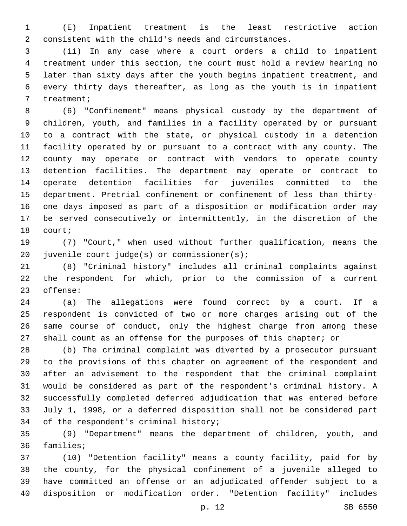(E) Inpatient treatment is the least restrictive action consistent with the child's needs and circumstances.

 (ii) In any case where a court orders a child to inpatient treatment under this section, the court must hold a review hearing no later than sixty days after the youth begins inpatient treatment, and every thirty days thereafter, as long as the youth is in inpatient 7 treatment;

 (6) "Confinement" means physical custody by the department of children, youth, and families in a facility operated by or pursuant to a contract with the state, or physical custody in a detention facility operated by or pursuant to a contract with any county. The county may operate or contract with vendors to operate county detention facilities. The department may operate or contract to operate detention facilities for juveniles committed to the department. Pretrial confinement or confinement of less than thirty- one days imposed as part of a disposition or modification order may be served consecutively or intermittently, in the discretion of the 18 court;

 (7) "Court," when used without further qualification, means the 20 juvenile court judge(s) or commissioner(s);

 (8) "Criminal history" includes all criminal complaints against the respondent for which, prior to the commission of a current 23 offense:

 (a) The allegations were found correct by a court. If a respondent is convicted of two or more charges arising out of the same course of conduct, only the highest charge from among these shall count as an offense for the purposes of this chapter; or

 (b) The criminal complaint was diverted by a prosecutor pursuant to the provisions of this chapter on agreement of the respondent and after an advisement to the respondent that the criminal complaint would be considered as part of the respondent's criminal history. A successfully completed deferred adjudication that was entered before July 1, 1998, or a deferred disposition shall not be considered part 34 of the respondent's criminal history;

 (9) "Department" means the department of children, youth, and 36 families;

 (10) "Detention facility" means a county facility, paid for by the county, for the physical confinement of a juvenile alleged to have committed an offense or an adjudicated offender subject to a disposition or modification order. "Detention facility" includes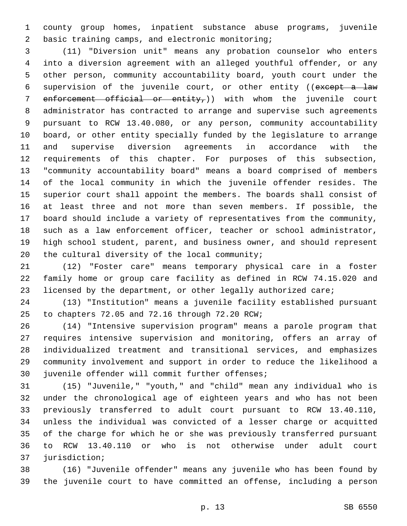county group homes, inpatient substance abuse programs, juvenile 2 basic training camps, and electronic monitoring;

 (11) "Diversion unit" means any probation counselor who enters into a diversion agreement with an alleged youthful offender, or any other person, community accountability board, youth court under the 6 supervision of the juvenile court, or other entity ((except a law enforcement official or entity,)) with whom the juvenile court administrator has contracted to arrange and supervise such agreements pursuant to RCW 13.40.080, or any person, community accountability board, or other entity specially funded by the legislature to arrange and supervise diversion agreements in accordance with the requirements of this chapter. For purposes of this subsection, "community accountability board" means a board comprised of members of the local community in which the juvenile offender resides. The superior court shall appoint the members. The boards shall consist of at least three and not more than seven members. If possible, the board should include a variety of representatives from the community, such as a law enforcement officer, teacher or school administrator, high school student, parent, and business owner, and should represent 20 the cultural diversity of the local community;

 (12) "Foster care" means temporary physical care in a foster family home or group care facility as defined in RCW 74.15.020 and licensed by the department, or other legally authorized care;

 (13) "Institution" means a juvenile facility established pursuant 25 to chapters 72.05 and 72.16 through 72.20 RCW;

 (14) "Intensive supervision program" means a parole program that requires intensive supervision and monitoring, offers an array of individualized treatment and transitional services, and emphasizes community involvement and support in order to reduce the likelihood a 30 juvenile offender will commit further offenses;

 (15) "Juvenile," "youth," and "child" mean any individual who is under the chronological age of eighteen years and who has not been previously transferred to adult court pursuant to RCW 13.40.110, unless the individual was convicted of a lesser charge or acquitted of the charge for which he or she was previously transferred pursuant to RCW 13.40.110 or who is not otherwise under adult court 37 jurisdiction;

 (16) "Juvenile offender" means any juvenile who has been found by the juvenile court to have committed an offense, including a person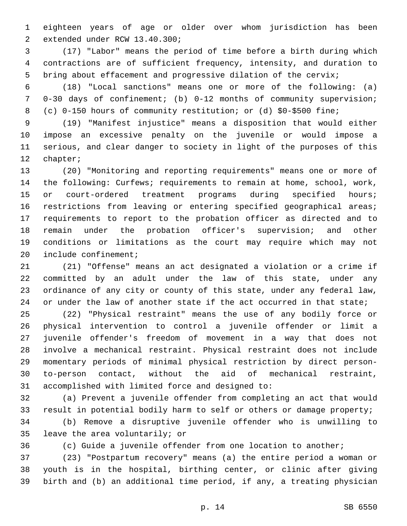eighteen years of age or older over whom jurisdiction has been 2 extended under RCW 13.40.300;

 (17) "Labor" means the period of time before a birth during which contractions are of sufficient frequency, intensity, and duration to bring about effacement and progressive dilation of the cervix;

 (18) "Local sanctions" means one or more of the following: (a) 0-30 days of confinement; (b) 0-12 months of community supervision; 8 (c) 0-150 hours of community restitution; or (d) \$0-\$500 fine;

 (19) "Manifest injustice" means a disposition that would either impose an excessive penalty on the juvenile or would impose a serious, and clear danger to society in light of the purposes of this 12 chapter;

 (20) "Monitoring and reporting requirements" means one or more of the following: Curfews; requirements to remain at home, school, work, or court-ordered treatment programs during specified hours; restrictions from leaving or entering specified geographical areas; requirements to report to the probation officer as directed and to remain under the probation officer's supervision; and other conditions or limitations as the court may require which may not 20 include confinement;

 (21) "Offense" means an act designated a violation or a crime if committed by an adult under the law of this state, under any ordinance of any city or county of this state, under any federal law, 24 or under the law of another state if the act occurred in that state;

 (22) "Physical restraint" means the use of any bodily force or physical intervention to control a juvenile offender or limit a juvenile offender's freedom of movement in a way that does not involve a mechanical restraint. Physical restraint does not include momentary periods of minimal physical restriction by direct person- to-person contact, without the aid of mechanical restraint, 31 accomplished with limited force and designed to:

 (a) Prevent a juvenile offender from completing an act that would result in potential bodily harm to self or others or damage property;

 (b) Remove a disruptive juvenile offender who is unwilling to 35 leave the area voluntarily; or

(c) Guide a juvenile offender from one location to another;

 (23) "Postpartum recovery" means (a) the entire period a woman or youth is in the hospital, birthing center, or clinic after giving birth and (b) an additional time period, if any, a treating physician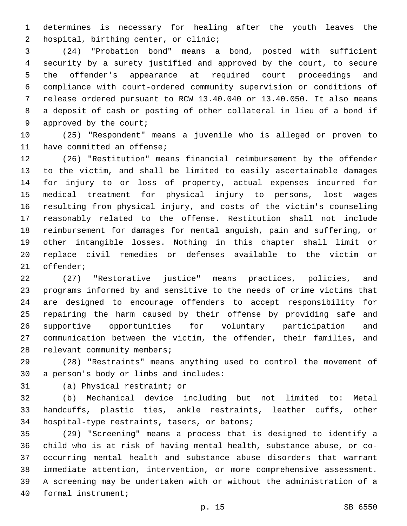determines is necessary for healing after the youth leaves the 2 hospital, birthing center, or clinic;

 (24) "Probation bond" means a bond, posted with sufficient security by a surety justified and approved by the court, to secure the offender's appearance at required court proceedings and compliance with court-ordered community supervision or conditions of release ordered pursuant to RCW 13.40.040 or 13.40.050. It also means a deposit of cash or posting of other collateral in lieu of a bond if 9 approved by the court;

 (25) "Respondent" means a juvenile who is alleged or proven to 11 have committed an offense;

 (26) "Restitution" means financial reimbursement by the offender to the victim, and shall be limited to easily ascertainable damages for injury to or loss of property, actual expenses incurred for medical treatment for physical injury to persons, lost wages resulting from physical injury, and costs of the victim's counseling reasonably related to the offense. Restitution shall not include reimbursement for damages for mental anguish, pain and suffering, or other intangible losses. Nothing in this chapter shall limit or replace civil remedies or defenses available to the victim or 21 offender;

 (27) "Restorative justice" means practices, policies, and programs informed by and sensitive to the needs of crime victims that are designed to encourage offenders to accept responsibility for repairing the harm caused by their offense by providing safe and supportive opportunities for voluntary participation and communication between the victim, the offender, their families, and 28 relevant community members;

 (28) "Restraints" means anything used to control the movement of 30 a person's body or limbs and includes:

31 (a) Physical restraint; or

 (b) Mechanical device including but not limited to: Metal handcuffs, plastic ties, ankle restraints, leather cuffs, other 34 hospital-type restraints, tasers, or batons;

 (29) "Screening" means a process that is designed to identify a child who is at risk of having mental health, substance abuse, or co- occurring mental health and substance abuse disorders that warrant immediate attention, intervention, or more comprehensive assessment. A screening may be undertaken with or without the administration of a 40 formal instrument;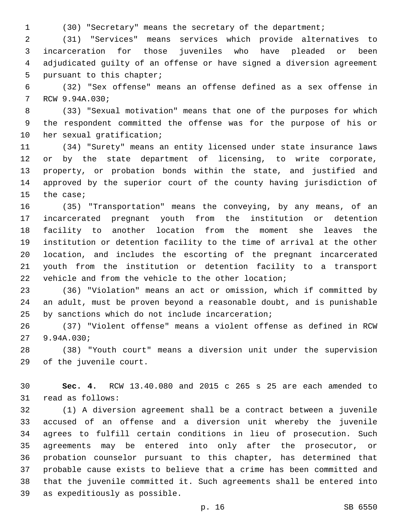(30) "Secretary" means the secretary of the department;

 (31) "Services" means services which provide alternatives to incarceration for those juveniles who have pleaded or been adjudicated guilty of an offense or have signed a diversion agreement 5 pursuant to this chapter;

 (32) "Sex offense" means an offense defined as a sex offense in 7 RCW 9.94A.030;

 (33) "Sexual motivation" means that one of the purposes for which the respondent committed the offense was for the purpose of his or 10 her sexual gratification;

 (34) "Surety" means an entity licensed under state insurance laws or by the state department of licensing, to write corporate, property, or probation bonds within the state, and justified and approved by the superior court of the county having jurisdiction of the case;

 (35) "Transportation" means the conveying, by any means, of an incarcerated pregnant youth from the institution or detention facility to another location from the moment she leaves the institution or detention facility to the time of arrival at the other location, and includes the escorting of the pregnant incarcerated youth from the institution or detention facility to a transport vehicle and from the vehicle to the other location;

 (36) "Violation" means an act or omission, which if committed by an adult, must be proven beyond a reasonable doubt, and is punishable 25 by sanctions which do not include incarceration;

 (37) "Violent offense" means a violent offense as defined in RCW 9.94A.030;27

 (38) "Youth court" means a diversion unit under the supervision 29 of the juvenile court.

 **Sec. 4.** RCW 13.40.080 and 2015 c 265 s 25 are each amended to 31 read as follows:

 (1) A diversion agreement shall be a contract between a juvenile accused of an offense and a diversion unit whereby the juvenile agrees to fulfill certain conditions in lieu of prosecution. Such agreements may be entered into only after the prosecutor, or probation counselor pursuant to this chapter, has determined that probable cause exists to believe that a crime has been committed and that the juvenile committed it. Such agreements shall be entered into 39 as expeditiously as possible.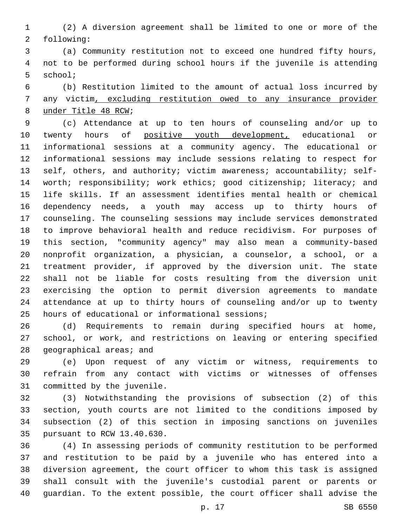(2) A diversion agreement shall be limited to one or more of the 2 following:

 (a) Community restitution not to exceed one hundred fifty hours, not to be performed during school hours if the juvenile is attending 5 school;

 (b) Restitution limited to the amount of actual loss incurred by any victim, excluding restitution owed to any insurance provider 8 under Title 48 RCW;

 (c) Attendance at up to ten hours of counseling and/or up to 10 twenty hours of positive youth development, educational or informational sessions at a community agency. The educational or informational sessions may include sessions relating to respect for self, others, and authority; victim awareness; accountability; self-14 worth; responsibility; work ethics; good citizenship; literacy; and life skills. If an assessment identifies mental health or chemical dependency needs, a youth may access up to thirty hours of counseling. The counseling sessions may include services demonstrated to improve behavioral health and reduce recidivism. For purposes of this section, "community agency" may also mean a community-based nonprofit organization, a physician, a counselor, a school, or a treatment provider, if approved by the diversion unit. The state shall not be liable for costs resulting from the diversion unit exercising the option to permit diversion agreements to mandate attendance at up to thirty hours of counseling and/or up to twenty 25 hours of educational or informational sessions;

 (d) Requirements to remain during specified hours at home, school, or work, and restrictions on leaving or entering specified 28 geographical areas; and

 (e) Upon request of any victim or witness, requirements to refrain from any contact with victims or witnesses of offenses 31 committed by the juvenile.

 (3) Notwithstanding the provisions of subsection (2) of this section, youth courts are not limited to the conditions imposed by subsection (2) of this section in imposing sanctions on juveniles 35 pursuant to RCW 13.40.630.

 (4) In assessing periods of community restitution to be performed and restitution to be paid by a juvenile who has entered into a diversion agreement, the court officer to whom this task is assigned shall consult with the juvenile's custodial parent or parents or guardian. To the extent possible, the court officer shall advise the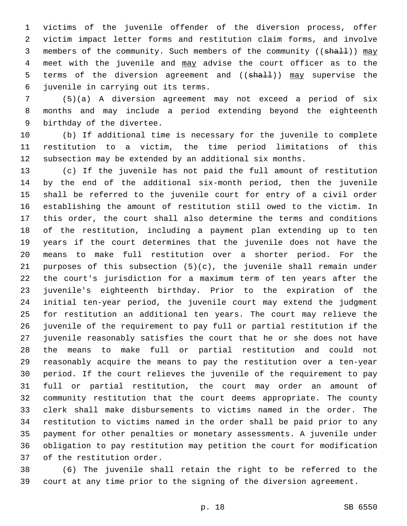victims of the juvenile offender of the diversion process, offer victim impact letter forms and restitution claim forms, and involve 3 members of the community. Such members of the community ((shall)) may meet with the juvenile and may advise the court officer as to the 5 terms of the diversion agreement and (( $\frac{1}{3}$ ) may supervise the juvenile in carrying out its terms.6

 (5)(a) A diversion agreement may not exceed a period of six months and may include a period extending beyond the eighteenth 9 birthday of the divertee.

 (b) If additional time is necessary for the juvenile to complete restitution to a victim, the time period limitations of this subsection may be extended by an additional six months.

 (c) If the juvenile has not paid the full amount of restitution by the end of the additional six-month period, then the juvenile shall be referred to the juvenile court for entry of a civil order establishing the amount of restitution still owed to the victim. In this order, the court shall also determine the terms and conditions of the restitution, including a payment plan extending up to ten years if the court determines that the juvenile does not have the means to make full restitution over a shorter period. For the purposes of this subsection (5)(c), the juvenile shall remain under the court's jurisdiction for a maximum term of ten years after the juvenile's eighteenth birthday. Prior to the expiration of the initial ten-year period, the juvenile court may extend the judgment for restitution an additional ten years. The court may relieve the juvenile of the requirement to pay full or partial restitution if the juvenile reasonably satisfies the court that he or she does not have the means to make full or partial restitution and could not reasonably acquire the means to pay the restitution over a ten-year period. If the court relieves the juvenile of the requirement to pay full or partial restitution, the court may order an amount of community restitution that the court deems appropriate. The county clerk shall make disbursements to victims named in the order. The restitution to victims named in the order shall be paid prior to any payment for other penalties or monetary assessments. A juvenile under obligation to pay restitution may petition the court for modification 37 of the restitution order.

 (6) The juvenile shall retain the right to be referred to the court at any time prior to the signing of the diversion agreement.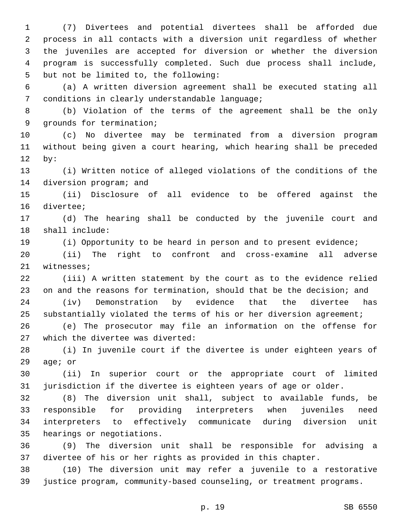(7) Divertees and potential divertees shall be afforded due process in all contacts with a diversion unit regardless of whether the juveniles are accepted for diversion or whether the diversion program is successfully completed. Such due process shall include, 5 but not be limited to, the following:

 (a) A written diversion agreement shall be executed stating all 7 conditions in clearly understandable language;

 (b) Violation of the terms of the agreement shall be the only 9 qrounds for termination;

 (c) No divertee may be terminated from a diversion program without being given a court hearing, which hearing shall be preceded by:

 (i) Written notice of alleged violations of the conditions of the 14 diversion program; and

 (ii) Disclosure of all evidence to be offered against the 16 divertee;

 (d) The hearing shall be conducted by the juvenile court and 18 shall include:

(i) Opportunity to be heard in person and to present evidence;

 (ii) The right to confront and cross-examine all adverse 21 witnesses;

 (iii) A written statement by the court as to the evidence relied on and the reasons for termination, should that be the decision; and (iv) Demonstration by evidence that the divertee has substantially violated the terms of his or her diversion agreement;

 (e) The prosecutor may file an information on the offense for 27 which the divertee was diverted:

 (i) In juvenile court if the divertee is under eighteen years of 29 age; or

 (ii) In superior court or the appropriate court of limited jurisdiction if the divertee is eighteen years of age or older.

 (8) The diversion unit shall, subject to available funds, be responsible for providing interpreters when juveniles need interpreters to effectively communicate during diversion unit 35 hearings or negotiations.

 (9) The diversion unit shall be responsible for advising a divertee of his or her rights as provided in this chapter.

 (10) The diversion unit may refer a juvenile to a restorative justice program, community-based counseling, or treatment programs.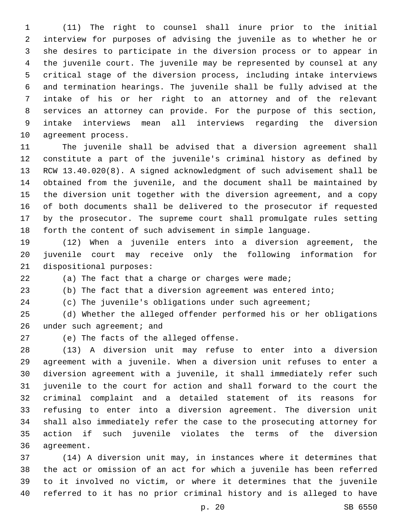(11) The right to counsel shall inure prior to the initial interview for purposes of advising the juvenile as to whether he or she desires to participate in the diversion process or to appear in the juvenile court. The juvenile may be represented by counsel at any critical stage of the diversion process, including intake interviews and termination hearings. The juvenile shall be fully advised at the intake of his or her right to an attorney and of the relevant services an attorney can provide. For the purpose of this section, intake interviews mean all interviews regarding the diversion 10 agreement process.

 The juvenile shall be advised that a diversion agreement shall constitute a part of the juvenile's criminal history as defined by RCW 13.40.020(8). A signed acknowledgment of such advisement shall be obtained from the juvenile, and the document shall be maintained by the diversion unit together with the diversion agreement, and a copy of both documents shall be delivered to the prosecutor if requested by the prosecutor. The supreme court shall promulgate rules setting forth the content of such advisement in simple language.

 (12) When a juvenile enters into a diversion agreement, the juvenile court may receive only the following information for 21 dispositional purposes:

22 (a) The fact that a charge or charges were made;

(b) The fact that a diversion agreement was entered into;

(c) The juvenile's obligations under such agreement;

 (d) Whether the alleged offender performed his or her obligations under such agreement; and

27 (e) The facts of the alleged offense.

 (13) A diversion unit may refuse to enter into a diversion agreement with a juvenile. When a diversion unit refuses to enter a diversion agreement with a juvenile, it shall immediately refer such juvenile to the court for action and shall forward to the court the criminal complaint and a detailed statement of its reasons for refusing to enter into a diversion agreement. The diversion unit shall also immediately refer the case to the prosecuting attorney for action if such juvenile violates the terms of the diversion 36 agreement.

 (14) A diversion unit may, in instances where it determines that the act or omission of an act for which a juvenile has been referred to it involved no victim, or where it determines that the juvenile referred to it has no prior criminal history and is alleged to have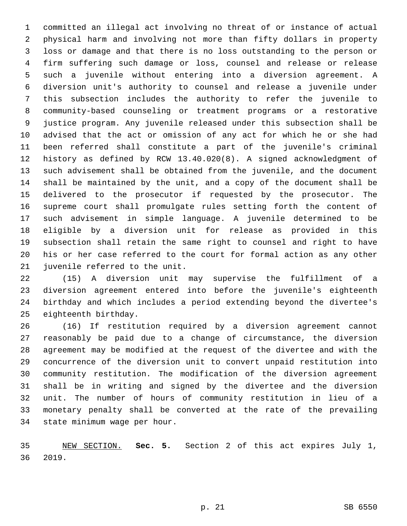committed an illegal act involving no threat of or instance of actual physical harm and involving not more than fifty dollars in property loss or damage and that there is no loss outstanding to the person or firm suffering such damage or loss, counsel and release or release such a juvenile without entering into a diversion agreement. A diversion unit's authority to counsel and release a juvenile under this subsection includes the authority to refer the juvenile to community-based counseling or treatment programs or a restorative justice program. Any juvenile released under this subsection shall be advised that the act or omission of any act for which he or she had been referred shall constitute a part of the juvenile's criminal history as defined by RCW 13.40.020(8). A signed acknowledgment of such advisement shall be obtained from the juvenile, and the document shall be maintained by the unit, and a copy of the document shall be delivered to the prosecutor if requested by the prosecutor. The supreme court shall promulgate rules setting forth the content of such advisement in simple language. A juvenile determined to be eligible by a diversion unit for release as provided in this subsection shall retain the same right to counsel and right to have his or her case referred to the court for formal action as any other 21 juvenile referred to the unit.

 (15) A diversion unit may supervise the fulfillment of a diversion agreement entered into before the juvenile's eighteenth birthday and which includes a period extending beyond the divertee's 25 eighteenth birthday.

 (16) If restitution required by a diversion agreement cannot reasonably be paid due to a change of circumstance, the diversion agreement may be modified at the request of the divertee and with the concurrence of the diversion unit to convert unpaid restitution into community restitution. The modification of the diversion agreement shall be in writing and signed by the divertee and the diversion unit. The number of hours of community restitution in lieu of a monetary penalty shall be converted at the rate of the prevailing 34 state minimum wage per hour.

 NEW SECTION. **Sec. 5.** Section 2 of this act expires July 1, 2019.